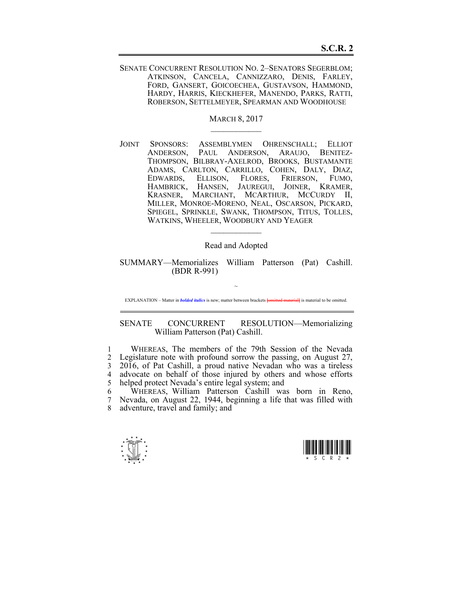SENATE CONCURRENT RESOLUTION NO. 2–SENATORS SEGERBLOM; ATKINSON, CANCELA, CANNIZZARO, DENIS, FARLEY, FORD, GANSERT, GOICOECHEA, GUSTAVSON, HAMMOND, HARDY, HARRIS, KIECKHEFER, MANENDO, PARKS, RATTI, ROBERSON, SETTELMEYER, SPEARMAN AND WOODHOUSE

> MARCH 8, 2017  $\mathcal{L}_\text{max}$

JOINT SPONSORS: ASSEMBLYMEN OHRENSCHALL; ELLIOT ANDERSON, PAUL ANDERSON, ARAUJO, BENITEZ-THOMPSON, BILBRAY-AXELROD, BROOKS, BUSTAMANTE ADAMS, CARLTON, CARRILLO, COHEN, DALY, DIAZ, EDWARDS, ELLISON, FLORES, FRIERSON, FUMO, HAMBRICK, HANSEN, JAUREGUI, JOINER, KRAMER, KRASNER, MARCHANT, MCARTHUR, MCCURDY II, MILLER, MONROE-MORENO, NEAL, OSCARSON, PICKARD, SPIEGEL, SPRINKLE, SWANK, THOMPSON, TITUS, TOLLES, WATKINS, WHEELER, WOODBURY AND YEAGER

Read and Adopted

 $\mathcal{L}_\text{max}$ 

SUMMARY—Memorializes William Patterson (Pat) Cashill. (BDR R-991)

~ EXPLANATION – Matter in *bolded italics* is new; matter between brackets **{omitted material}** is material to be omitted.

SENATE CONCURRENT RESOLUTION—Memorializing William Patterson (Pat) Cashill.

1 WHEREAS, The members of the 79th Session of the Nevada 2 Legislature note with profound sorrow the passing, on August 27, 3 2016, of Pat Cashill, a proud native Nevadan who was a tireless 4 advocate on behalf of those injured by others and whose efforts 5 helped protect Nevada's entire legal system; and

6 WHEREAS, William Patterson Cashill was born in Reno, 7 Nevada, on August 22, 1944, beginning a life that was filled with 8 adventure, travel and family; and



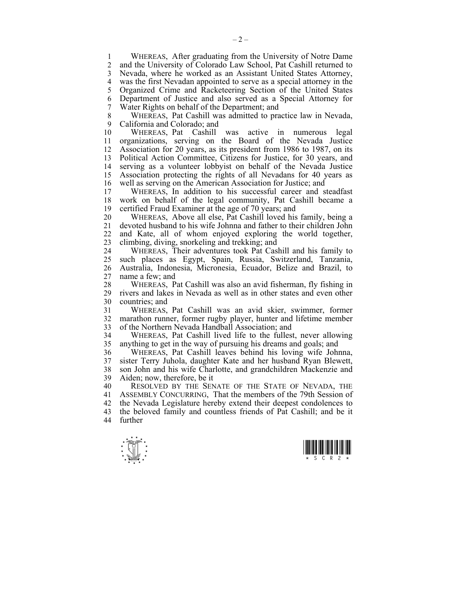1 WHEREAS, After graduating from the University of Notre Dame<br>2 and the University of Colorado Law School Pat Cashill returned to 2 and the University of Colorado Law School, Pat Cashill returned to 3 Nevada, where he worked as an Assistant United States Attorney, 4 was the first Nevadan appointed to serve as a special attorney in the 5 Organized Crime and Racketeering Section of the United States 5 Organized Crime and Racketeering Section of the United States 6 Department of Justice and also served as a Special Attorney for 7 Water Rights on behalf of the Department; and

8 WHEREAS, Pat Cashill was admitted to practice law in Nevada, 9 California and Colorado; and

10 WHEREAS, Pat Cashill was active in numerous legal 11 organizations, serving on the Board of the Nevada Justice 12 Association for 20 years, as its president from 1986 to 1987, on its 13 Political Action Committee, Citizens for Justice, for 30 years, and 14 serving as a volunteer lobbyist on behalf of the Nevada Justice serving as a volunteer lobbyist on behalf of the Nevada Justice 15 Association protecting the rights of all Nevadans for 40 years as 16 well as serving on the American Association for Justice; and<br>17 WHEREAS In addition to his successful career and s

WHEREAS, In addition to his successful career and steadfast 18 work on behalf of the legal community, Pat Cashill became a 19 certified Fraud Examiner at the age of 70 years; and

20 WHEREAS, Above all else, Pat Cashill loved his family, being a 21 devoted husband to his wife Johnna and father to their children John 22 and Kate, all of whom enjoyed exploring the world together, 23 climbing, diving, snorkeling and trekking; and

24 WHEREAS, Their adventures took Pat Cashill and his family to 25 such places as Egypt, Spain, Russia, Switzerland, Tanzania, 26 Australia, Indonesia, Micronesia, Ecuador, Belize and Brazil, to 27 name a few; and

28 WHEREAS, Pat Cashill was also an avid fisherman, fly fishing in 29 rivers and lakes in Nevada as well as in other states and even other 29 rivers and lakes in Nevada as well as in other states and even other 30 countries; and

31 WHEREAS, Pat Cashill was an avid skier, swimmer, former 32 marathon runner, former rugby player, hunter and lifetime member 33 of the Northern Nevada Handball Association; and

34 WHEREAS, Pat Cashill lived life to the fullest, never allowing 35 anything to get in the way of pursuing his dreams and goals; and

36 WHEREAS, Pat Cashill leaves behind his loving wife Johnna, 37 sister Terry Juhola, daughter Kate and her husband Ryan Blewett, 38 son John and his wife Charlotte, and grandchildren Mackenzie and 39 Aiden; now, therefore, be it

40 RESOLVED BY THE SENATE OF THE STATE OF NEVADA, THE 41 ASSEMBLY CONCURRING, That the members of the 79th Session of 42 the Nevada Legislature hereby extend their deepest condolences to 43 the beloved family and countless friends of Pat Cashill; and be it 44 further